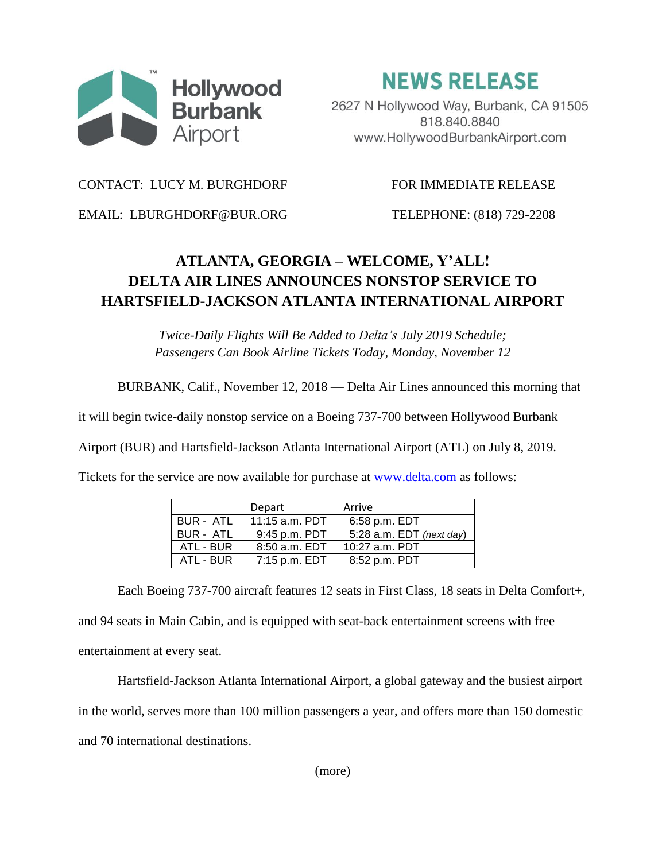

**NEWS RELEASE** 

2627 N Hollywood Way, Burbank, CA 91505 818.840.8840 www.HollywoodBurbankAirport.com

CONTACT: LUCY M. BURGHDORF FOR IMMEDIATE RELEASE

EMAIL: LBURGHDORF@BUR.ORG TELEPHONE: (818) 729-2208

## **ATLANTA, GEORGIA – WELCOME, Y'ALL! DELTA AIR LINES ANNOUNCES NONSTOP SERVICE TO HARTSFIELD-JACKSON ATLANTA INTERNATIONAL AIRPORT**

*Twice-Daily Flights Will Be Added to Delta's July 2019 Schedule; Passengers Can Book Airline Tickets Today, Monday, November 12*

BURBANK, Calif., November 12, 2018 — Delta Air Lines announced this morning that

it will begin twice-daily nonstop service on a Boeing 737-700 between Hollywood Burbank

Airport (BUR) and Hartsfield-Jackson Atlanta International Airport (ATL) on July 8, 2019.

Tickets for the service are now available for purchase at [www.delta.com](http://www.delta.com/) as follows:

|           | Depart          | Arrive                     |
|-----------|-----------------|----------------------------|
| BUR - ATL | 11:15 a.m. PDT  | 6:58 p.m. EDT              |
| BUR - ATL | 9:45 p.m. PDT   | 5:28 a.m. $EDT$ (next day) |
| ATL - BUR | $8:50$ a.m. EDT | $10:27$ a.m. PDT           |
| ATL - BUR | 7:15 p.m. EDT   | 8:52 p.m. PDT              |

Each Boeing 737-700 aircraft features 12 seats in First Class, 18 seats in Delta Comfort+, and 94 seats in Main Cabin, and is equipped with seat-back entertainment screens with free entertainment at every seat.

Hartsfield-Jackson Atlanta International Airport, a global gateway and the busiest airport in the world, serves more than 100 million passengers a year, and offers more than 150 domestic and 70 international destinations.

(more)